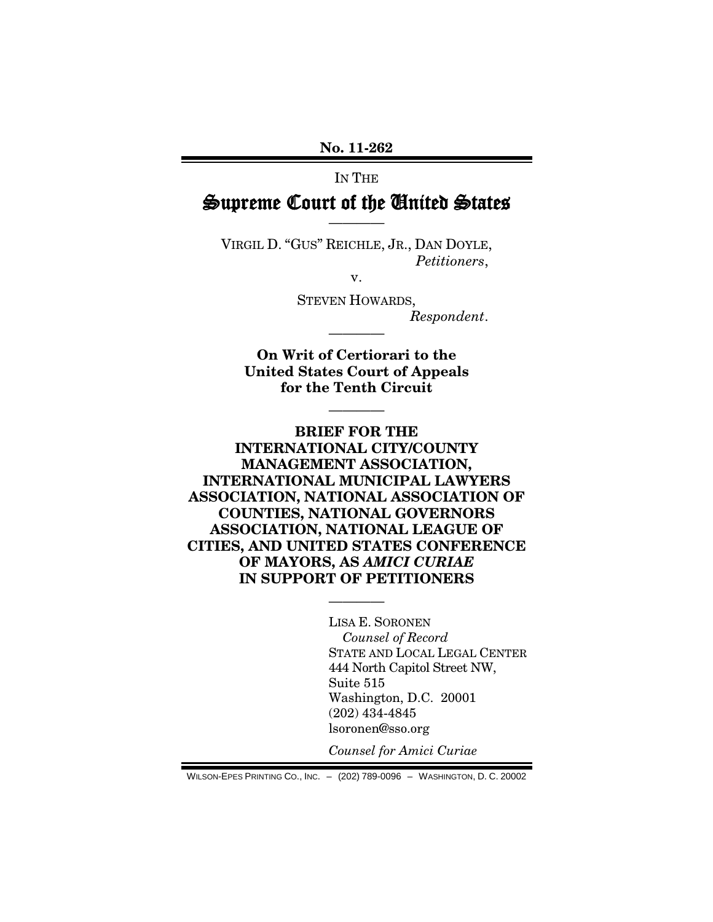**No. 11-262**

# IN THE Supreme Court of the United States

VIRGIL D. "GUS" REICHLE, JR., DAN DOYLE, *Petitioners*,

————

v.

STEVEN HOWARDS, *Respondent*.

**On Writ of Certiorari to the United States Court of Appeals for the Tenth Circuit**

————

————

**BRIEF FOR THE INTERNATIONAL CITY/COUNTY MANAGEMENT ASSOCIATION, INTERNATIONAL MUNICIPAL LAWYERS ASSOCIATION, NATIONAL ASSOCIATION OF COUNTIES, NATIONAL GOVERNORS ASSOCIATION, NATIONAL LEAGUE OF CITIES, AND UNITED STATES CONFERENCE OF MAYORS, AS** *AMICI CURIAE* **IN SUPPORT OF PETITIONERS**

————

LISA E. SORONEN *Counsel of Record* STATE AND LOCAL LEGAL CENTER 444 North Capitol Street NW, Suite 515 Washington, D.C. 20001 (202) 434-4845 lsoronen@sso.org

*Counsel for Amici Curiae*

WILSON-EPES PRINTING CO., INC. – (202) 789-0096 – WASHINGTON, D. C. 20002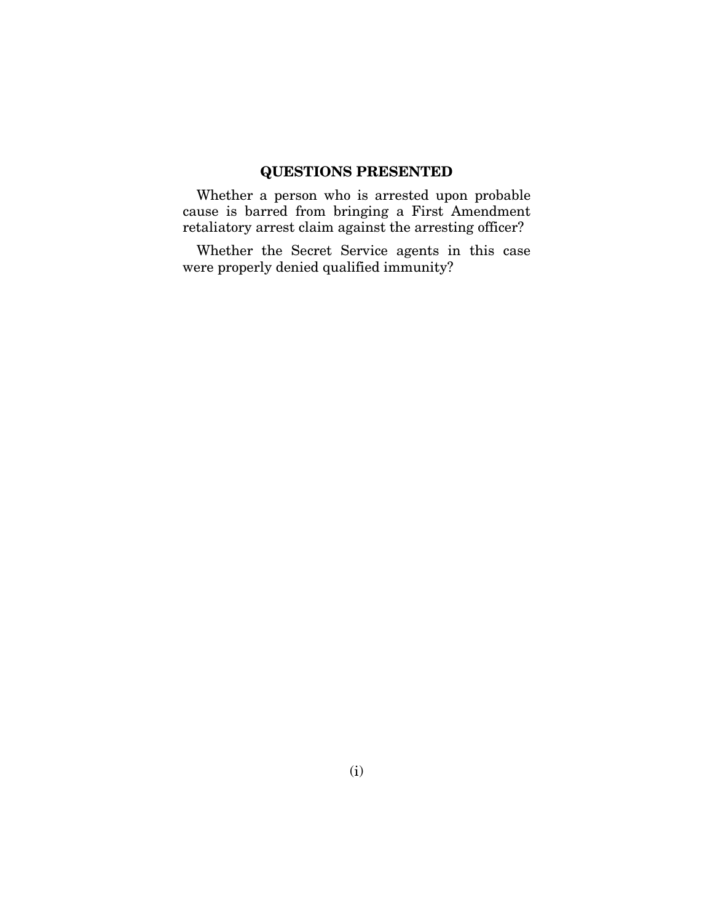### **QUESTIONS PRESENTED**

Whether a person who is arrested upon probable cause is barred from bringing a First Amendment retaliatory arrest claim against the arresting officer?

Whether the Secret Service agents in this case were properly denied qualified immunity?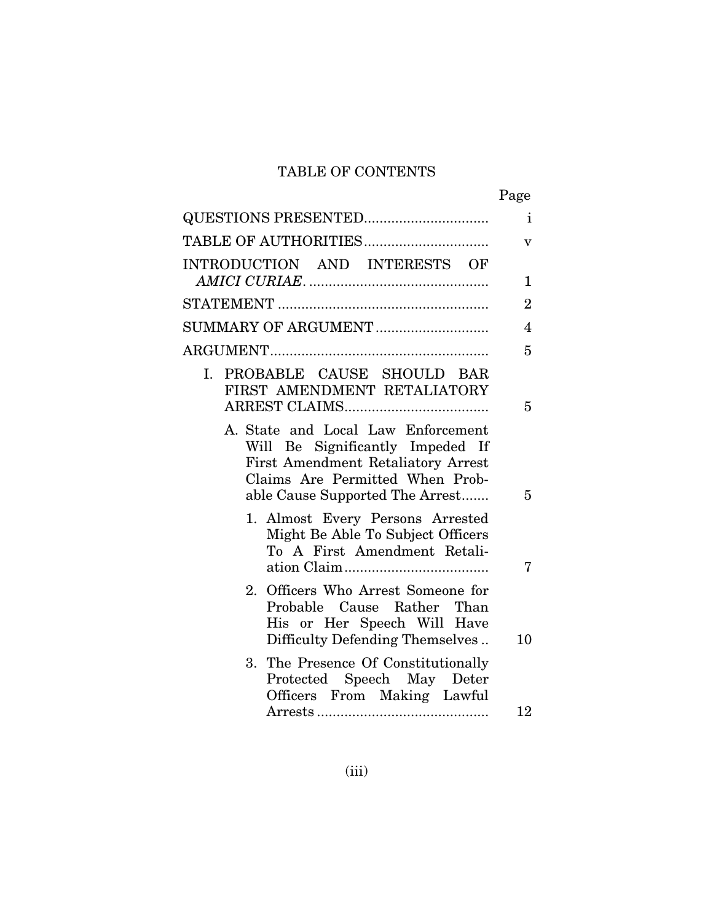# TABLE OF CONTENTS

|                                                                                                                                                                                           | Page           |
|-------------------------------------------------------------------------------------------------------------------------------------------------------------------------------------------|----------------|
|                                                                                                                                                                                           | $\mathbf{i}$   |
| TABLE OF AUTHORITIES                                                                                                                                                                      | V              |
| INTRODUCTION AND INTERESTS OF                                                                                                                                                             | 1              |
|                                                                                                                                                                                           | $\overline{2}$ |
|                                                                                                                                                                                           |                |
| SUMMARY OF ARGUMENT                                                                                                                                                                       | $\overline{4}$ |
|                                                                                                                                                                                           | 5              |
| I. PROBABLE CAUSE SHOULD BAR<br>FIRST AMENDMENT RETALIATORY                                                                                                                               | 5              |
| A. State and Local Law Enforcement<br>Will Be Significantly Impeded If<br><b>First Amendment Retaliatory Arrest</b><br>Claims Are Permitted When Prob-<br>able Cause Supported The Arrest | 5              |
| 1. Almost Every Persons Arrested<br>Might Be Able To Subject Officers<br>To A First Amendment Retali-                                                                                     | 7              |
| 2. Officers Who Arrest Someone for<br>Probable Cause Rather Than<br>His or Her Speech Will Have<br>Difficulty Defending Themselves                                                        | 10             |
| 3. The Presence Of Constitutionally<br>Protected Speech May Deter<br>Officers From Making Lawful                                                                                          |                |
|                                                                                                                                                                                           | 12             |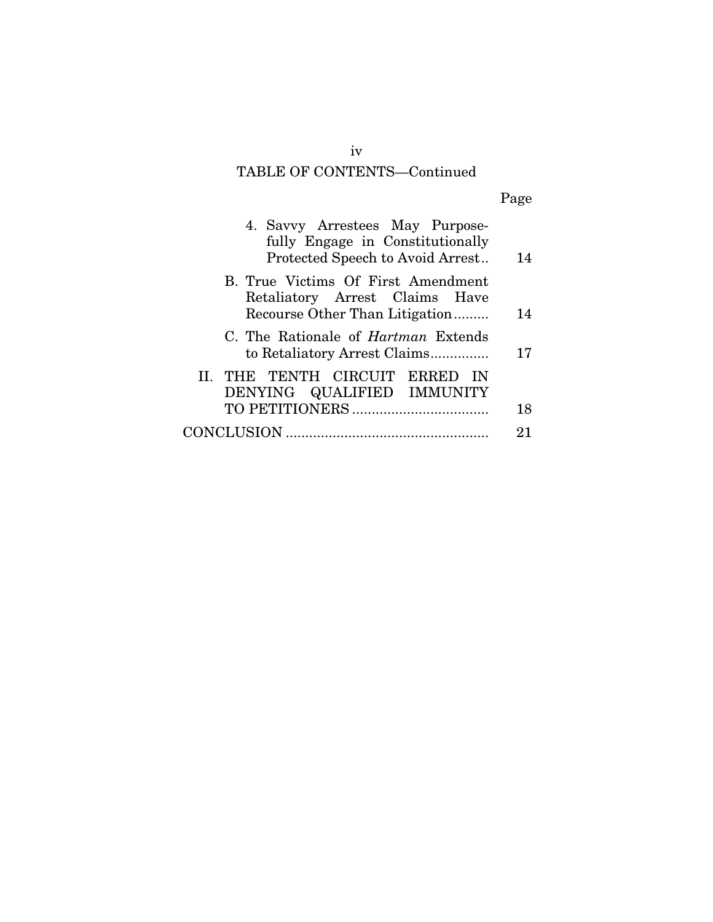# TABLE OF CONTENTS—Continued

|--|--|--|--|

| 4. Savvy Arrestees May Purpose-<br>fully Engage in Constitutionally<br>Protected Speech to Avoid Arrest | 14 |
|---------------------------------------------------------------------------------------------------------|----|
| B. True Victims Of First Amendment<br>Retaliatory Arrest Claims Have<br>Recourse Other Than Litigation  | 14 |
| C. The Rationale of <i>Hartman</i> Extends<br>to Retaliatory Arrest Claims                              | 17 |
| II. THE TENTH CIRCUIT ERRED IN<br>DENYING QUALIFIED IMMUNITY                                            | 18 |
|                                                                                                         |    |
|                                                                                                         | 21 |
|                                                                                                         |    |

iv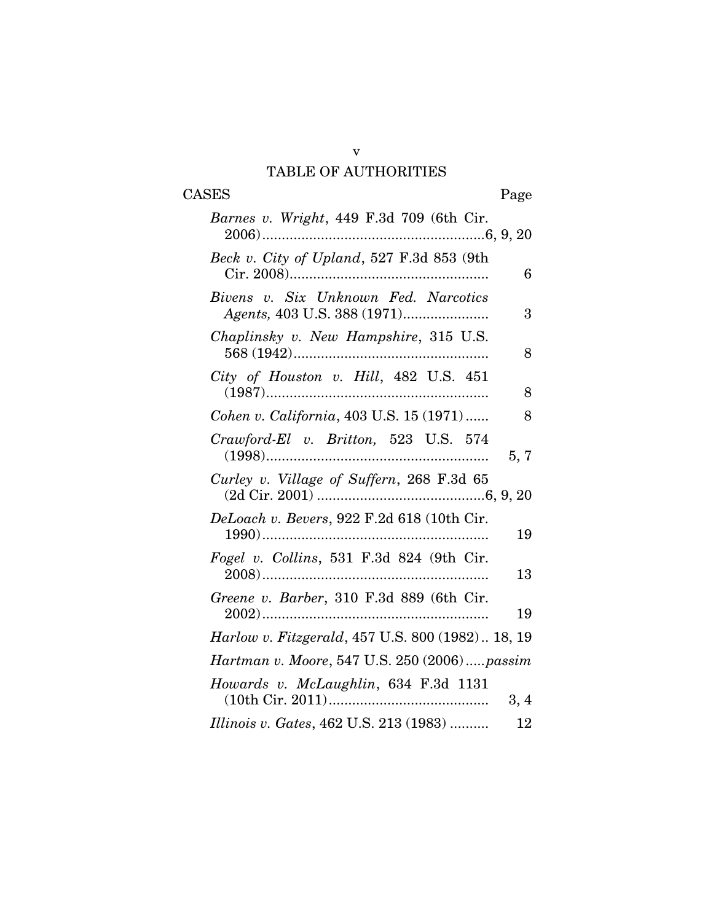## v TABLE OF AUTHORITIES

# CASES Page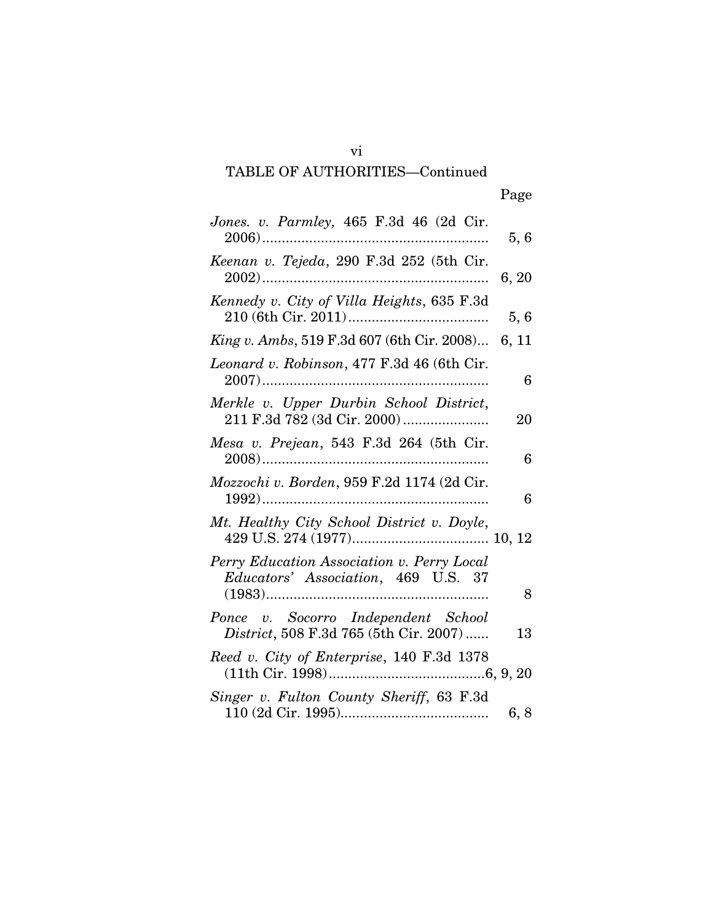# TABLE OF AUTHORITIES—Continued

| ×<br>w<br>۰. |
|--------------|
|--------------|

| Jones. v. Parmley, 465 F.3d 46 (2d Cir.                                           | 5,6   |
|-----------------------------------------------------------------------------------|-------|
| Keenan v. Tejeda, 290 F.3d 252 (5th Cir.                                          | 6, 20 |
| Kennedy v. City of Villa Heights, 635 F.3d                                        | 5,6   |
| <i>King v. Ambs,</i> 519 F.3d 607 (6th Cir. 2008)                                 | 6, 11 |
| Leonard v. Robinson, 477 F.3d 46 (6th Cir.                                        | 6     |
| Merkle v. Upper Durbin School District,<br>211 F.3d 782 (3d Cir. 2000)            | 20    |
| Mesa v. Prejean, 543 F.3d 264 (5th Cir.                                           | 6     |
| Mozzochi v. Borden, 959 F.2d 1174 (2d Cir.                                        | 6     |
| Mt. Healthy City School District v. Doyle,                                        |       |
| Perry Education Association v. Perry Local<br>Educators' Association, 469 U.S. 37 | 8     |
| Ponce v. Socorro Independent School<br>District, 508 F.3d 765 (5th Cir. 2007)     | 13    |
| Reed v. City of Enterprise, 140 F.3d 1378                                         |       |
| Singer v. Fulton County Sheriff, 63 F.3d                                          | 6, 8  |

vi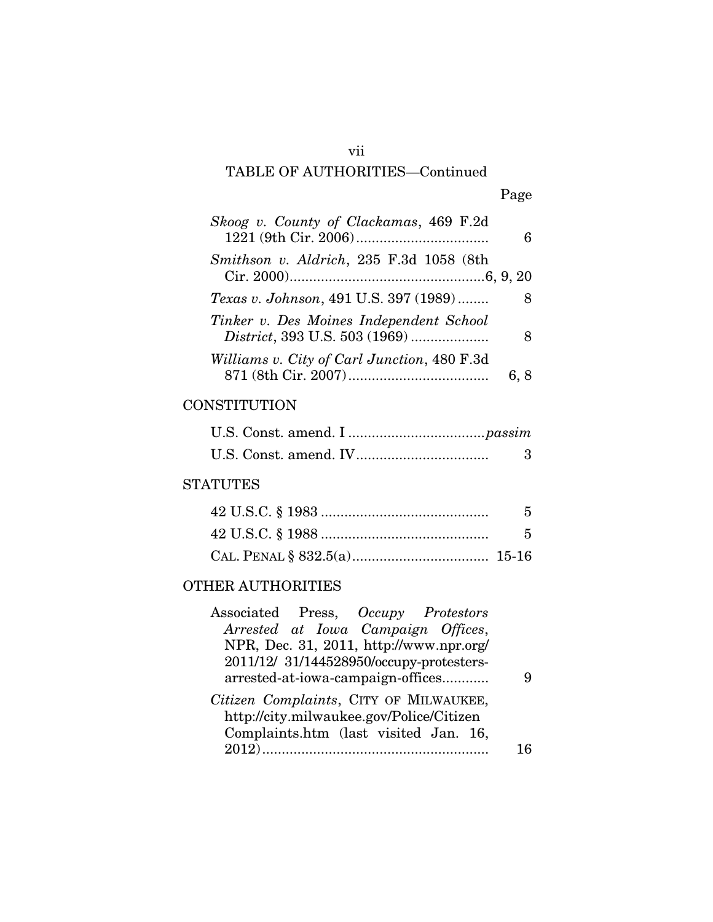### vii

# TABLE OF AUTHORITIES—Continued

# Page

| Skoog v. County of Clackamas, 469 F.2d                                   |      |
|--------------------------------------------------------------------------|------|
| Smithson v. Aldrich, 235 F.3d 1058 (8th                                  |      |
| Texas v. Johnson, 491 U.S. 397 (1989)                                    |      |
| Tinker v. Des Moines Independent School<br>District, 393 U.S. 503 (1969) | -8   |
| Williams v. City of Carl Junction, 480 F.3d                              | 6, 8 |

## **CONSTITUTION**

### **STATUTES**

| $5^{\circ}$ |
|-------------|
| - 5         |
|             |

## OTHER AUTHORITIES

| Associated Press, Occupy Protestors                                                                                                 |  |
|-------------------------------------------------------------------------------------------------------------------------------------|--|
| Arrested at Iowa Campaign Offices,                                                                                                  |  |
| NPR, Dec. 31, 2011, http://www.npr.org/                                                                                             |  |
| 2011/12/ 31/144528950/occupy-protesters-                                                                                            |  |
| arrested-at-iowa-campaign-offices                                                                                                   |  |
| Citizen Complaints, CITY OF MILWAUKEE,<br>http://city.milwaukee.gov/Police/Citizen<br>Complaints.htm (last visited Jan. 16,<br>2012 |  |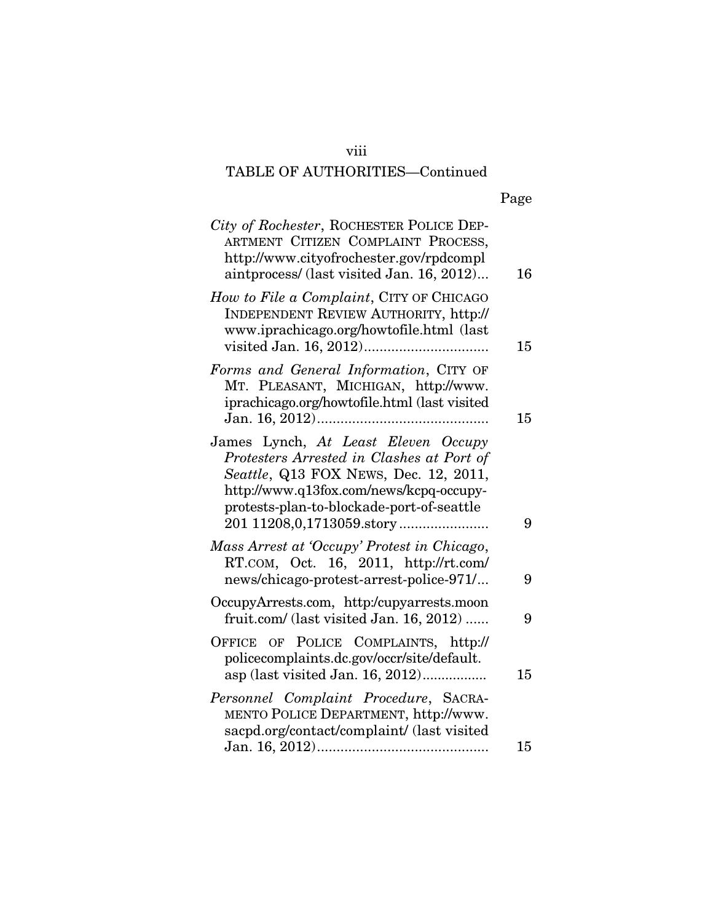## viii

# TABLE OF AUTHORITIES—Continued

| × |
|---|
|---|

| City of Rochester, ROCHESTER POLICE DEP-<br>ARTMENT CITIZEN COMPLAINT PROCESS,<br>http://www.cityofrochester.gov/rpdcompl<br>aintprocess/ (last visited Jan. 16, 2012)                                            | 16 |
|-------------------------------------------------------------------------------------------------------------------------------------------------------------------------------------------------------------------|----|
| How to File a Complaint, CITY OF CHICAGO<br><b>INDEPENDENT REVIEW AUTHORITY, http://</b><br>www.iprachicago.org/howtofile.html (last                                                                              | 15 |
| Forms and General Information, CITY OF<br>MT. PLEASANT, MICHIGAN, http://www.<br>iprachicago.org/howtofile.html (last visited                                                                                     | 15 |
| James Lynch, At Least Eleven Occupy<br>Protesters Arrested in Clashes at Port of<br>Seattle, Q13 FOX NEWS, Dec. 12, 2011,<br>http://www.q13fox.com/news/kcpq-occupy-<br>protests-plan-to-blockade-port-of-seattle | 9  |
| Mass Arrest at 'Occupy' Protest in Chicago,<br>RT.COM, Oct. 16, 2011, http://rt.com/<br>news/chicago-protest-arrest-police-971/                                                                                   | 9  |
| OccupyArrests.com, http:/cupyarrests.moon<br>fruit.com/ (last visited Jan. 16, 2012)                                                                                                                              | 9  |
| OFFICE OF POLICE COMPLAINTS, http://<br>policecomplaints.dc.gov/occr/site/default.<br>asp (last visited Jan. 16, 2012)                                                                                            | 15 |
| Personnel Complaint Procedure, SACRA-<br>MENTO POLICE DEPARTMENT, http://www.<br>sacpd.org/contact/complaint/ (last visited                                                                                       |    |
|                                                                                                                                                                                                                   | 15 |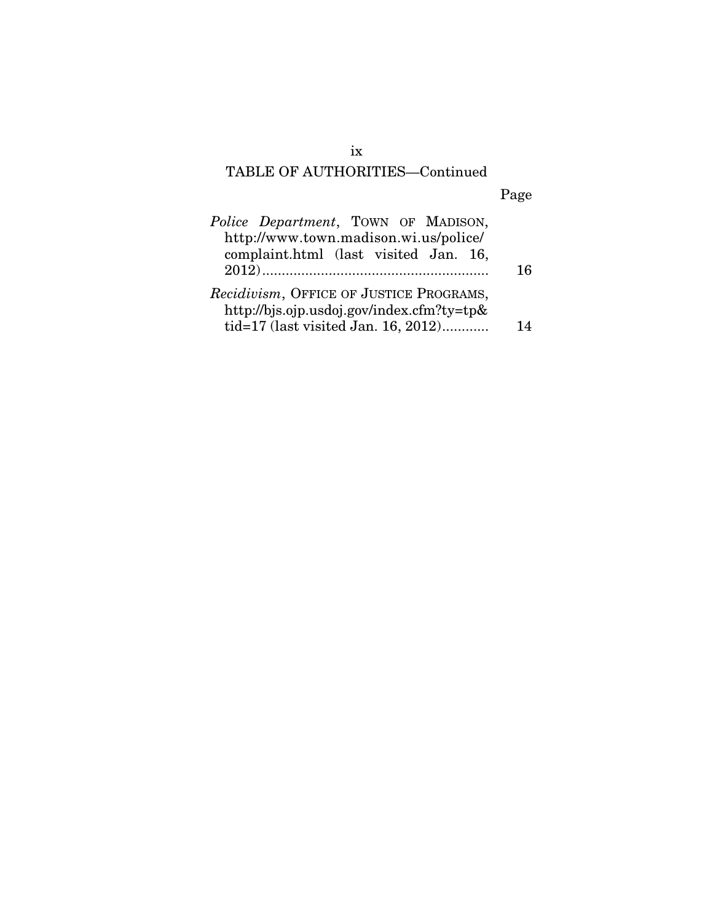# TABLE OF AUTHORITIES—Continued

# Page

| <i>Police Department</i> , TOWN OF MADISON,   |     |
|-----------------------------------------------|-----|
| http://www.town.madison.wi.us/police/         |     |
| complaint.html (last visited Jan. 16,         |     |
|                                               | 16  |
| Recidivism, OFFICE OF JUSTICE PROGRAMS,       |     |
| http://bjs.ojp.usdoj.gov/index.cfm?ty=tp $\&$ |     |
| tid=17 (last visited Jan. 16, 2012)           | 1 A |

ix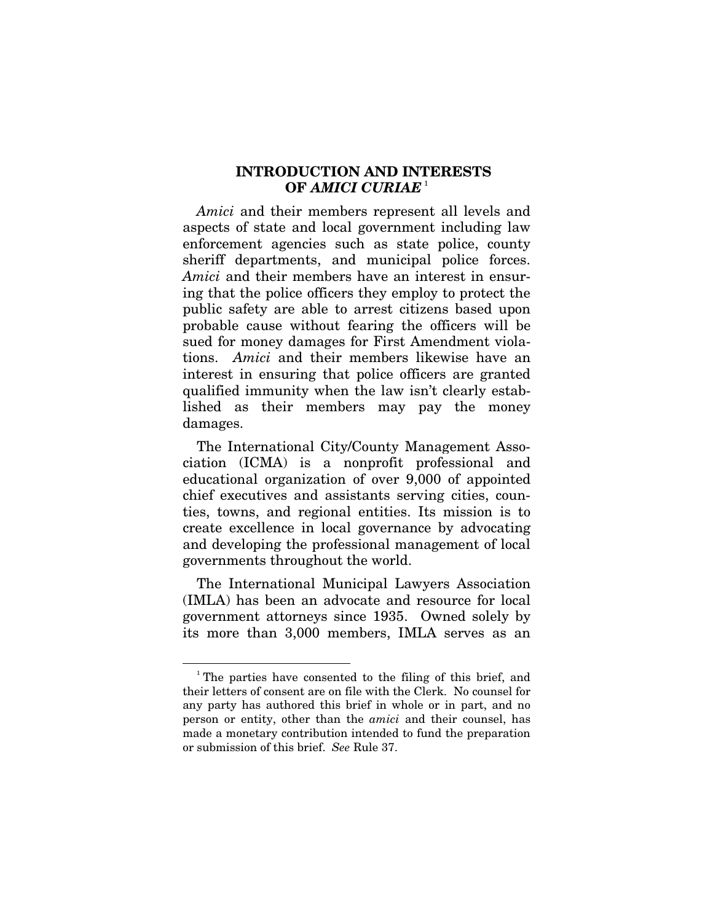### **INTRODUCTION AND INTERESTS OF** *AMICI CURIAE* [1](#page-9-0)

*Amici* and their members represent all levels and aspects of state and local government including law enforcement agencies such as state police, county sheriff departments, and municipal police forces. *Amici* and their members have an interest in ensuring that the police officers they employ to protect the public safety are able to arrest citizens based upon probable cause without fearing the officers will be sued for money damages for First Amendment violations. *Amici* and their members likewise have an interest in ensuring that police officers are granted qualified immunity when the law isn't clearly established as their members may pay the money damages.

The International City/County Management Association (ICMA) is a nonprofit professional and educational organization of over 9,000 of appointed chief executives and assistants serving cities, counties, towns, and regional entities. Its mission is to create excellence in local governance by advocating and developing the professional management of local governments throughout the world.

The International Municipal Lawyers Association (IMLA) has been an advocate and resource for local government attorneys since 1935. Owned solely by its more than 3,000 members, IMLA serves as an

<u>.</u>

<span id="page-9-0"></span><sup>&</sup>lt;sup>1</sup>The parties have consented to the filing of this brief, and their letters of consent are on file with the Clerk. No counsel for any party has authored this brief in whole or in part, and no person or entity, other than the *amici* and their counsel, has made a monetary contribution intended to fund the preparation or submission of this brief. *See* Rule 37.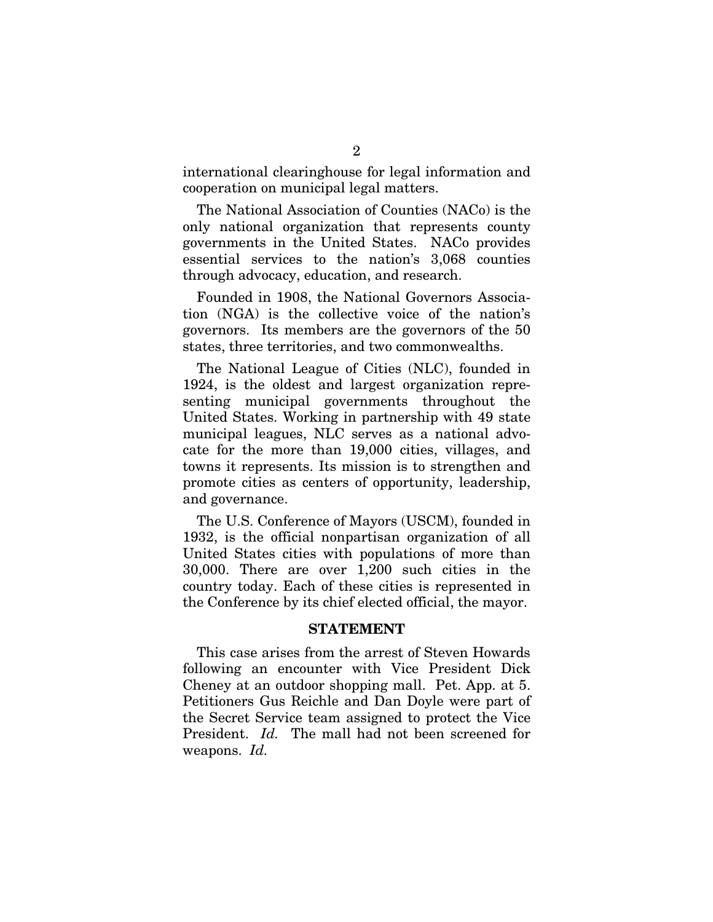international clearinghouse for legal information and cooperation on municipal legal matters.

The National Association of Counties (NACo) is the only national organization that represents county governments in the United States. NACo provides essential services to the nation's 3,068 counties through advocacy, education, and research.

Founded in 1908, the National Governors Association (NGA) is the collective voice of the nation's governors. Its members are the governors of the 50 states, three territories, and two commonwealths.

The National League of Cities (NLC), founded in 1924, is the oldest and largest organization representing municipal governments throughout the United States. Working in partnership with 49 state municipal leagues, NLC serves as a national advocate for the more than 19,000 cities, villages, and towns it represents. Its mission is to strengthen and promote cities as centers of opportunity, leadership, and governance.

The U.S. Conference of Mayors (USCM), founded in 1932, is the official nonpartisan organization of all United States cities with populations of more than 30,000. There are over 1,200 such cities in the country today. Each of these cities is represented in the Conference by its chief elected official, the mayor.

#### **STATEMENT**

This case arises from the arrest of Steven Howards following an encounter with Vice President Dick Cheney at an outdoor shopping mall. Pet. App. at 5. Petitioners Gus Reichle and Dan Doyle were part of the Secret Service team assigned to protect the Vice President. *Id.* The mall had not been screened for weapons. *Id.*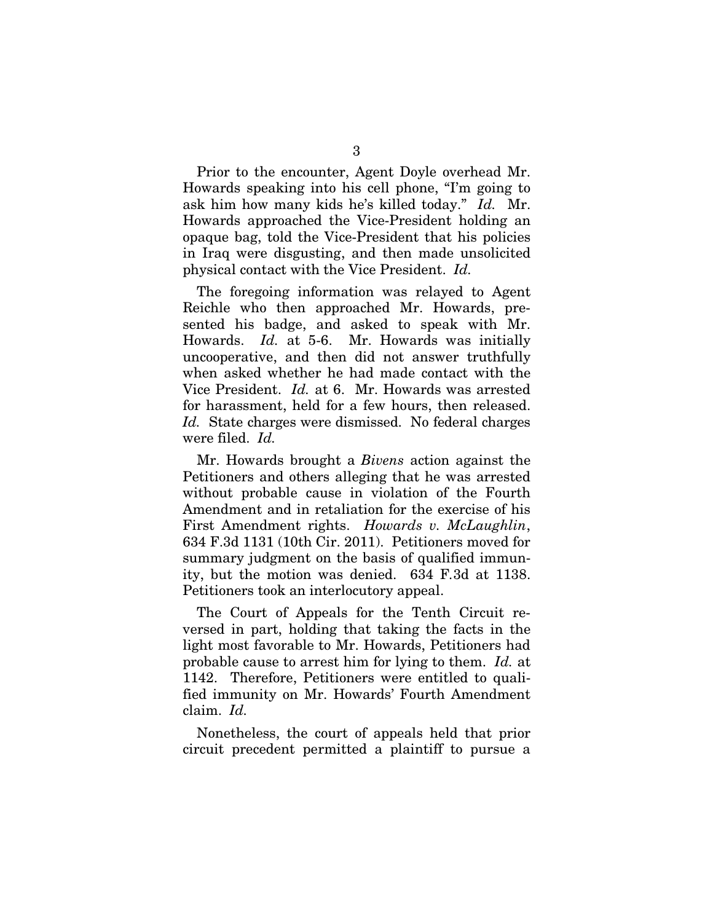Prior to the encounter, Agent Doyle overhead Mr. Howards speaking into his cell phone, "I'm going to ask him how many kids he's killed today." *Id.* Mr. Howards approached the Vice-President holding an opaque bag, told the Vice-President that his policies in Iraq were disgusting, and then made unsolicited physical contact with the Vice President. *Id.*

The foregoing information was relayed to Agent Reichle who then approached Mr. Howards, presented his badge, and asked to speak with Mr. Howards. *Id.* at 5-6. Mr. Howards was initially uncooperative, and then did not answer truthfully when asked whether he had made contact with the Vice President. *Id.* at 6. Mr. Howards was arrested for harassment, held for a few hours, then released. *Id.* State charges were dismissed. No federal charges were filed. *Id.*

Mr. Howards brought a *Bivens* action against the Petitioners and others alleging that he was arrested without probable cause in violation of the Fourth Amendment and in retaliation for the exercise of his First Amendment rights. *Howards v. McLaughlin*, 634 F.3d 1131 (10th Cir. 2011). Petitioners moved for summary judgment on the basis of qualified immunity, but the motion was denied. 634 F*.*3d at 1138. Petitioners took an interlocutory appeal.

The Court of Appeals for the Tenth Circuit reversed in part, holding that taking the facts in the light most favorable to Mr. Howards, Petitioners had probable cause to arrest him for lying to them. *Id.* at 1142. Therefore, Petitioners were entitled to qualified immunity on Mr. Howards' Fourth Amendment claim. *Id.*

Nonetheless, the court of appeals held that prior circuit precedent permitted a plaintiff to pursue a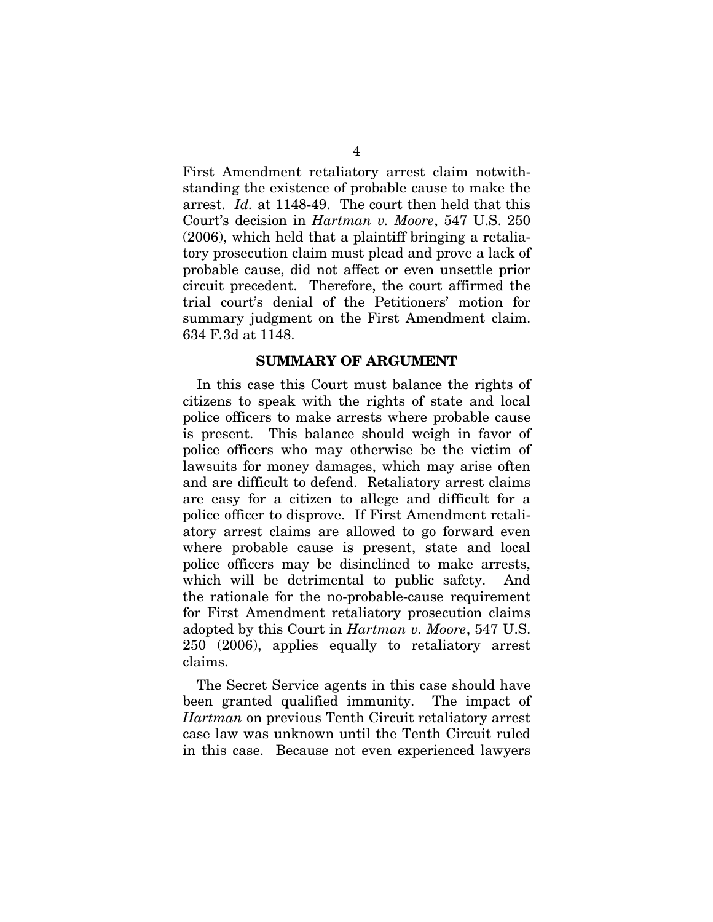First Amendment retaliatory arrest claim notwithstanding the existence of probable cause to make the arrest. *Id.* at 1148-49. The court then held that this Court's decision in *Hartman v. Moore*, 547 U.S. 250 (2006), which held that a plaintiff bringing a retaliatory prosecution claim must plead and prove a lack of probable cause, did not affect or even unsettle prior circuit precedent. Therefore, the court affirmed the trial court's denial of the Petitioners' motion for summary judgment on the First Amendment claim. 634 F*.*3d at 1148.

#### **SUMMARY OF ARGUMENT**

In this case this Court must balance the rights of citizens to speak with the rights of state and local police officers to make arrests where probable cause is present. This balance should weigh in favor of police officers who may otherwise be the victim of lawsuits for money damages, which may arise often and are difficult to defend. Retaliatory arrest claims are easy for a citizen to allege and difficult for a police officer to disprove. If First Amendment retaliatory arrest claims are allowed to go forward even where probable cause is present, state and local police officers may be disinclined to make arrests, which will be detrimental to public safety. And the rationale for the no-probable-cause requirement for First Amendment retaliatory prosecution claims adopted by this Court in *Hartman v. Moore*, 547 U.S. 250 (2006), applies equally to retaliatory arrest claims.

The Secret Service agents in this case should have been granted qualified immunity. The impact of *Hartman* on previous Tenth Circuit retaliatory arrest case law was unknown until the Tenth Circuit ruled in this case. Because not even experienced lawyers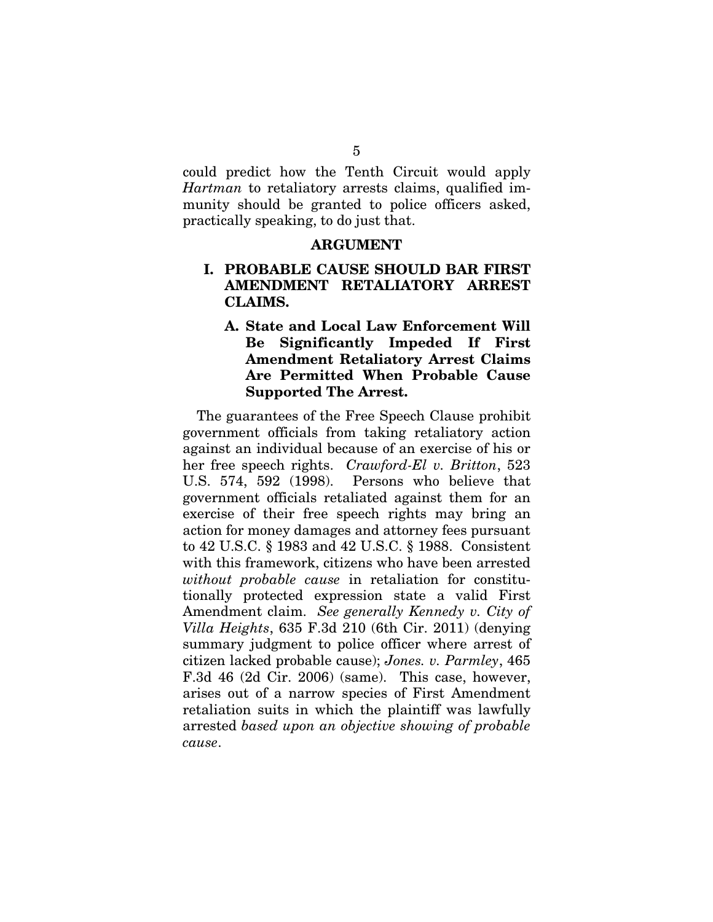could predict how the Tenth Circuit would apply *Hartman* to retaliatory arrests claims, qualified immunity should be granted to police officers asked, practically speaking, to do just that.

#### **ARGUMENT**

### **I. PROBABLE CAUSE SHOULD BAR FIRST AMENDMENT RETALIATORY ARREST CLAIMS.**

**A. State and Local Law Enforcement Will Be Significantly Impeded If First Amendment Retaliatory Arrest Claims Are Permitted When Probable Cause Supported The Arrest.**

The guarantees of the Free Speech Clause prohibit government officials from taking retaliatory action against an individual because of an exercise of his or her free speech rights. *Crawford-El v. Britton*, 523 U.S. 574, 592 (1998). Persons who believe that government officials retaliated against them for an exercise of their free speech rights may bring an action for money damages and attorney fees pursuant to 42 U.S.C. § 1983 and 42 U.S.C. § 1988. Consistent with this framework, citizens who have been arrested *without probable cause* in retaliation for constitutionally protected expression state a valid First Amendment claim. *See generally Kennedy v. City of Villa Heights*, 635 F.3d 210 (6th Cir. 2011) (denying summary judgment to police officer where arrest of citizen lacked probable cause); *Jones. v. Parmley*, 465 F.3d 46 (2d Cir. 2006) (same).This case, however, arises out of a narrow species of First Amendment retaliation suits in which the plaintiff was lawfully arrested *based upon an objective showing of probable cause*.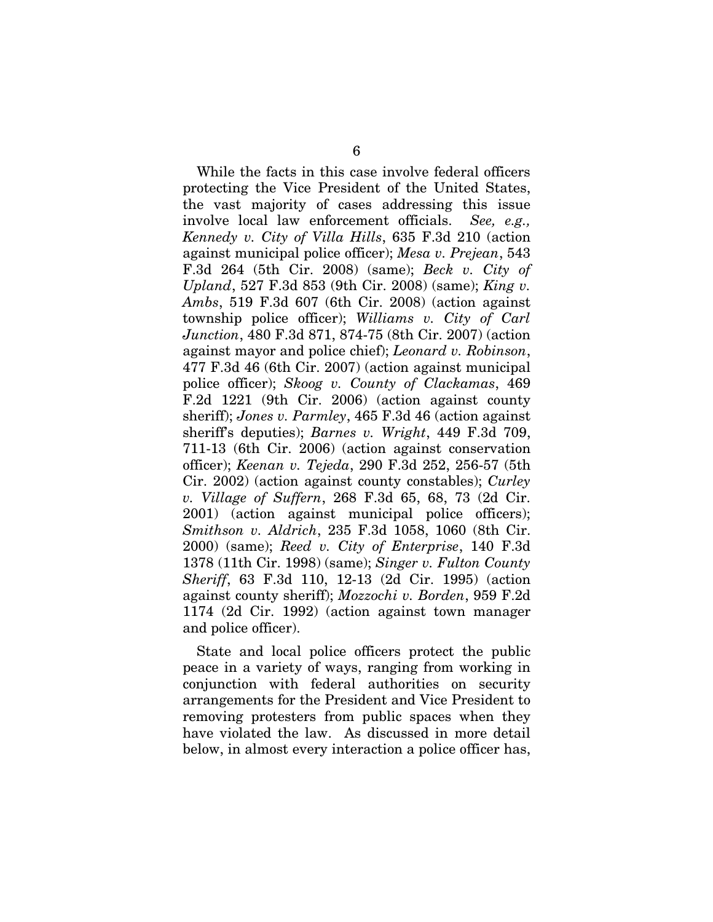While the facts in this case involve federal officers protecting the Vice President of the United States, the vast majority of cases addressing this issue involve local law enforcement officials. *See, e.g., Kennedy v. City of Villa Hills*, 635 F.3d 210 (action against municipal police officer); *Mesa v. Prejean*, 543 F.3d 264 (5th Cir. 2008) (same); *Beck v. City of Upland*, 527 F.3d 853 (9th Cir. 2008) (same); *King v. Ambs*, 519 F.3d 607 (6th Cir. 2008) (action against township police officer); *Williams v. City of Carl Junction*, 480 F.3d 871, 874-75 (8th Cir. 2007) (action against mayor and police chief); *Leonard v. Robinson*, 477 F.3d 46 (6th Cir. 2007) (action against municipal police officer); *Skoog v. County of Clackamas*, 469 F.2d 1221 (9th Cir. 2006) (action against county sheriff); *Jones v. Parmley*, 465 F.3d 46 (action against sheriff's deputies); *Barnes v. Wright*, 449 F.3d 709, 711-13 (6th Cir. 2006) (action against conservation officer); *Keenan v. Tejeda*, 290 F.3d 252, 256-57 (5th Cir. 2002) (action against county constables); *Curley v. Village of Suffern*, 268 F.3d 65, 68, 73 (2d Cir. 2001) (action against municipal police officers); *Smithson v. Aldrich*, 235 F.3d 1058, 1060 (8th Cir. 2000) (same); *Reed v. City of Enterprise*, 140 F.3d 1378 (11th Cir. 1998) (same); *Singer v. Fulton County Sheriff*, 63 F.3d 110, 12-13 (2d Cir. 1995) (action against county sheriff); *Mozzochi v. Borden*, 959 F.2d 1174 (2d Cir. 1992) (action against town manager and police officer).

State and local police officers protect the public peace in a variety of ways, ranging from working in conjunction with federal authorities on security arrangements for the President and Vice President to removing protesters from public spaces when they have violated the law. As discussed in more detail below, in almost every interaction a police officer has,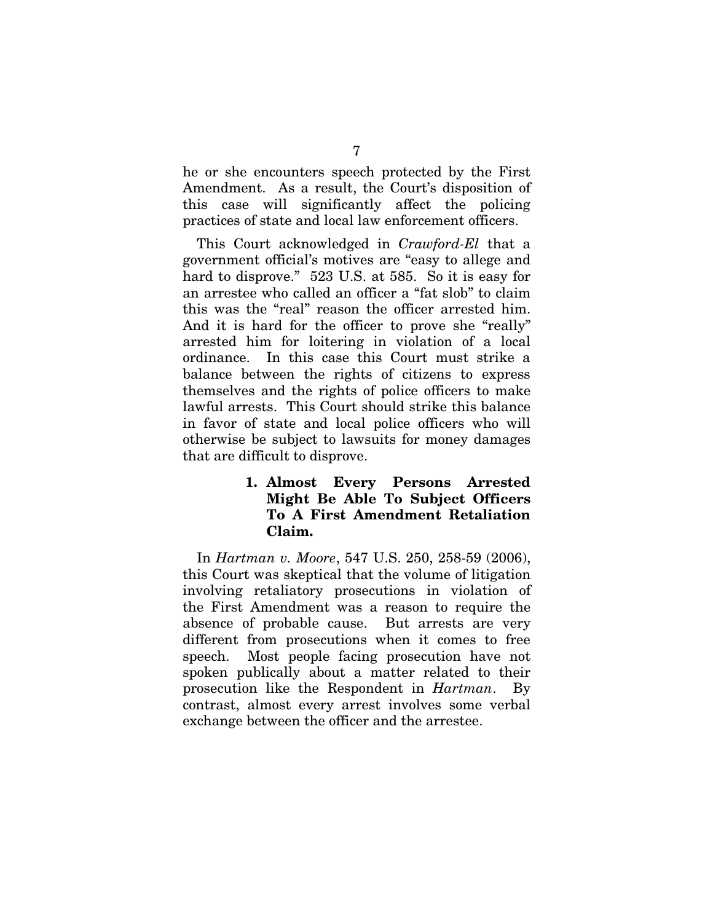he or she encounters speech protected by the First Amendment. As a result, the Court's disposition of this case will significantly affect the policing practices of state and local law enforcement officers.

This Court acknowledged in *Crawford-El* that a government official's motives are "easy to allege and hard to disprove." 523 U.S. at 585. So it is easy for an arrestee who called an officer a "fat slob" to claim this was the "real" reason the officer arrested him. And it is hard for the officer to prove she "really" arrested him for loitering in violation of a local ordinance. In this case this Court must strike a balance between the rights of citizens to express themselves and the rights of police officers to make lawful arrests. This Court should strike this balance in favor of state and local police officers who will otherwise be subject to lawsuits for money damages that are difficult to disprove.

### **1. Almost Every Persons Arrested Might Be Able To Subject Officers To A First Amendment Retaliation Claim.**

In *Hartman v. Moore*, 547 U.S. 250, 258-59 (2006), this Court was skeptical that the volume of litigation involving retaliatory prosecutions in violation of the First Amendment was a reason to require the absence of probable cause. But arrests are very different from prosecutions when it comes to free speech. Most people facing prosecution have not spoken publically about a matter related to their prosecution like the Respondent in *Hartman*. By contrast, almost every arrest involves some verbal exchange between the officer and the arrestee.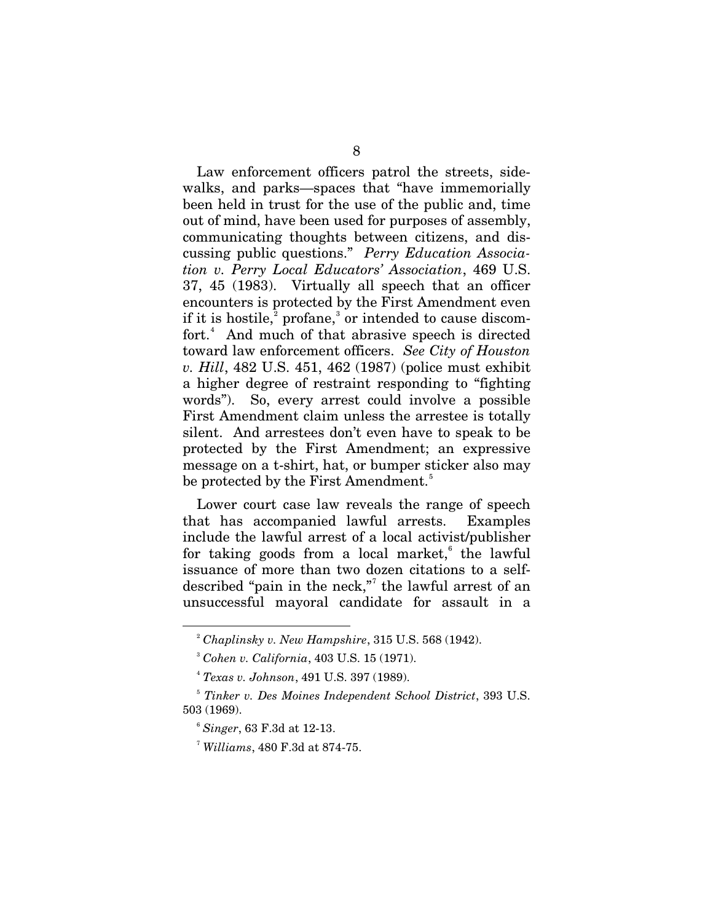Law enforcement officers patrol the streets, sidewalks, and parks—spaces that "have immemorially been held in trust for the use of the public and, time out of mind, have been used for purposes of assembly, communicating thoughts between citizens, and discussing public questions." *Perry Education Association v. Perry Local Educators' Association*, 469 U.S. 37, 45 (1983). Virtually all speech that an officer encounters is protected by the First Amendment even if it is hostile,<sup>[2](#page-16-0)</sup> profane,<sup>[3](#page-16-1)</sup> or intended to cause discom-fort.<sup>[4](#page-16-2)</sup> And much of that abrasive speech is directed toward law enforcement officers. *See City of Houston v. Hill*, 482 U.S. 451, 462 (1987) (police must exhibit a higher degree of restraint responding to "fighting words"). So, every arrest could involve a possible First Amendment claim unless the arrestee is totally silent. And arrestees don't even have to speak to be protected by the First Amendment; an expressive message on a t-shirt, hat, or bumper sticker also may be protected by the First Amendment.<sup>[5](#page-16-3)</sup>

Lower court case law reveals the range of speech that has accompanied lawful arrests. Examples include the lawful arrest of a local activist/publisher for taking goods from a local market, $6$  the lawful issuance of more than two dozen citations to a self-described "pain in the neck,"<sup>[7](#page-16-5)</sup> the lawful arrest of an unsuccessful mayoral candidate for assault in a

<span id="page-16-1"></span><span id="page-16-0"></span>-

<sup>2</sup> *Chaplinsky v. New Hampshire*, 315 U.S. 568 (1942).

<sup>3</sup> *Cohen v. California*, 403 U.S. 15 (1971).

<sup>4</sup> *Texas v. Johnson*, 491 U.S. 397 (1989).

<span id="page-16-5"></span><span id="page-16-4"></span><span id="page-16-3"></span><span id="page-16-2"></span><sup>5</sup> *Tinker v. Des Moines Independent School District*, 393 U.S. 503 (1969).

<sup>6</sup> *Singer*, 63 F.3d at 12-13.

<sup>7</sup> *Williams*, 480 F.3d at 874-75.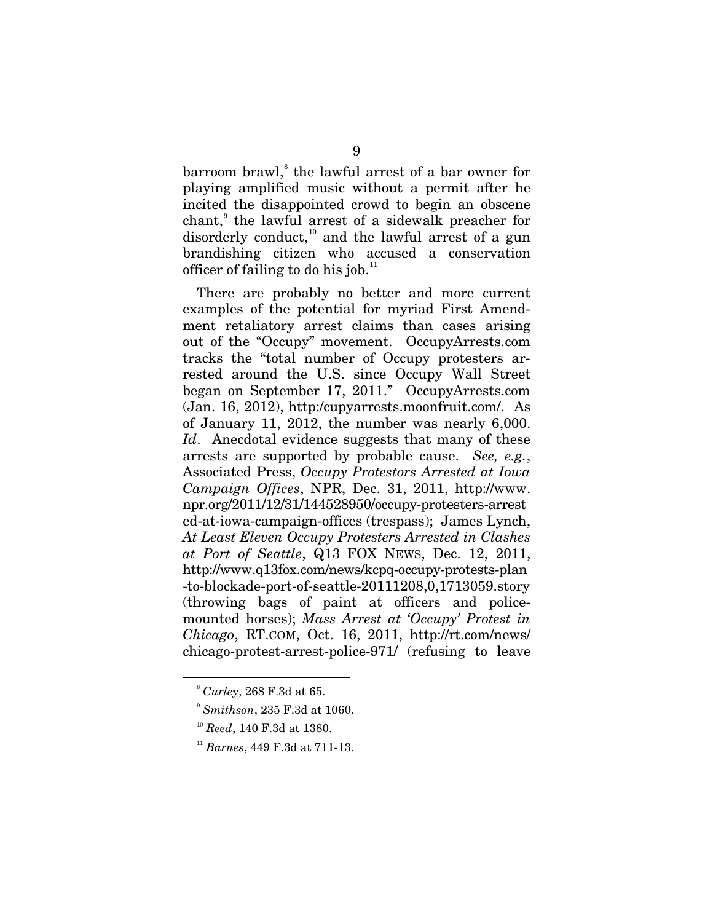barroom brawl, [8](#page-17-0) the lawful arrest of a bar owner for playing amplified music without a permit after he incited the disappointed crowd to begin an obscene chant,<sup>[9](#page-17-1)</sup> the lawful arrest of a sidewalk preacher for disorderly conduct,<sup>[10](#page-17-2)</sup> and the lawful arrest of a gun brandishing citizen who accused a conservation officer of failing to do his job. $11$ 

There are probably no better and more current examples of the potential for myriad First Amendment retaliatory arrest claims than cases arising out of the "Occupy" movement. OccupyArrests.com tracks the "total number of Occupy protesters arrested around the U.S. since Occupy Wall Street began on September 17, 2011." OccupyArrests.com (Jan. 16, 2012), [http:/cupyarrests.moonfruit.com/.](http://occupyarrests.moonfruit.com/) As of January 11, 2012, the number was nearly 6,000. Id. Anecdotal evidence suggests that many of these arrests are supported by probable cause. *See, e.g.*, Associated Press, *Occupy Protestors Arrested at Iowa Campaign Offices*, NPR, Dec. 31, 2011, http://www. npr.org/2011/12/31/144528950/occupy-protesters-arrest ed-at-iowa-campaign-offices (trespass); James Lynch, *At Least Eleven Occupy Protesters Arrested in Clashes at Port of Seattle*, Q13 FOX NEWS, Dec. 12, 2011, [http://www.q13fox.com/news/kcpq-occupy-protests-plan](http://www.q13fox.com/news/kcpq-occupy-protests-plan%20-to-blockade-port-of-seattle-20111208,0,1713059.story) [-to-blockade-port-of-seattle-20111208,0,1713059.story](http://www.q13fox.com/news/kcpq-occupy-protests-plan%20-to-blockade-port-of-seattle-20111208,0,1713059.story) (throwing bags of paint at officers and policemounted horses); *Mass Arrest at 'Occupy' Protest in Chicago*, RT.COM, Oct. 16, 2011, [http://rt.com/news/](http://rt.com/news/%20chicago-protest-arrest-police-971/)  [chicago-protest-arrest-police-971/](http://rt.com/news/%20chicago-protest-arrest-police-971/) (refusing to leave

<span id="page-17-2"></span><span id="page-17-1"></span><span id="page-17-0"></span><u>.</u>

<sup>8</sup> *Curley*, 268 F.3d at 65.

<sup>9</sup> *Smithson*, 235 F.3d at 1060.

<sup>10</sup> *Reed*, 140 F.3d at 1380.

<span id="page-17-3"></span><sup>11</sup> *Barnes*, 449 F.3d at 711-13.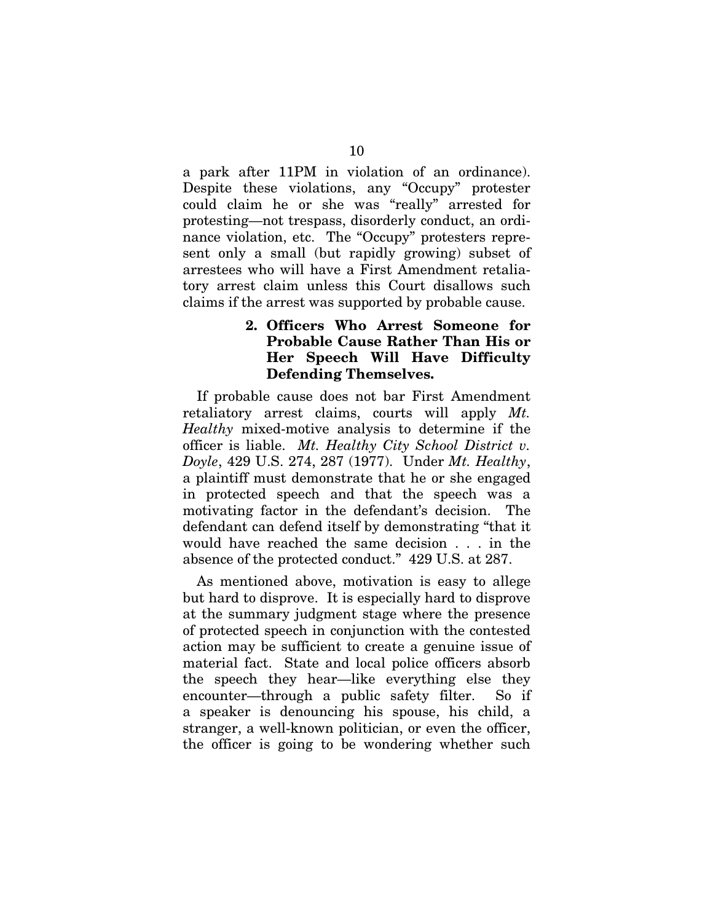a park after 11PM in violation of an ordinance). Despite these violations, any "Occupy" protester could claim he or she was "really" arrested for protesting—not trespass, disorderly conduct, an ordinance violation, etc. The "Occupy" protesters represent only a small (but rapidly growing) subset of arrestees who will have a First Amendment retaliatory arrest claim unless this Court disallows such claims if the arrest was supported by probable cause.

### **2. Officers Who Arrest Someone for Probable Cause Rather Than His or Her Speech Will Have Difficulty Defending Themselves.**

If probable cause does not bar First Amendment retaliatory arrest claims, courts will apply *Mt. Healthy* mixed-motive analysis to determine if the officer is liable. *Mt. Healthy City School District v. Doyle*, 429 U.S. 274, 287 (1977). Under *Mt. Healthy*, a plaintiff must demonstrate that he or she engaged in protected speech and that the speech was a motivating factor in the defendant's decision. The defendant can defend itself by demonstrating "that it would have reached the same decision . . . in the absence of the protected conduct." 429 U.S. at 287.

As mentioned above, motivation is easy to allege but hard to disprove. It is especially hard to disprove at the summary judgment stage where the presence of protected speech in conjunction with the contested action may be sufficient to create a genuine issue of material fact. State and local police officers absorb the speech they hear—like everything else they encounter—through a public safety filter. So if a speaker is denouncing his spouse, his child, a stranger, a well-known politician, or even the officer, the officer is going to be wondering whether such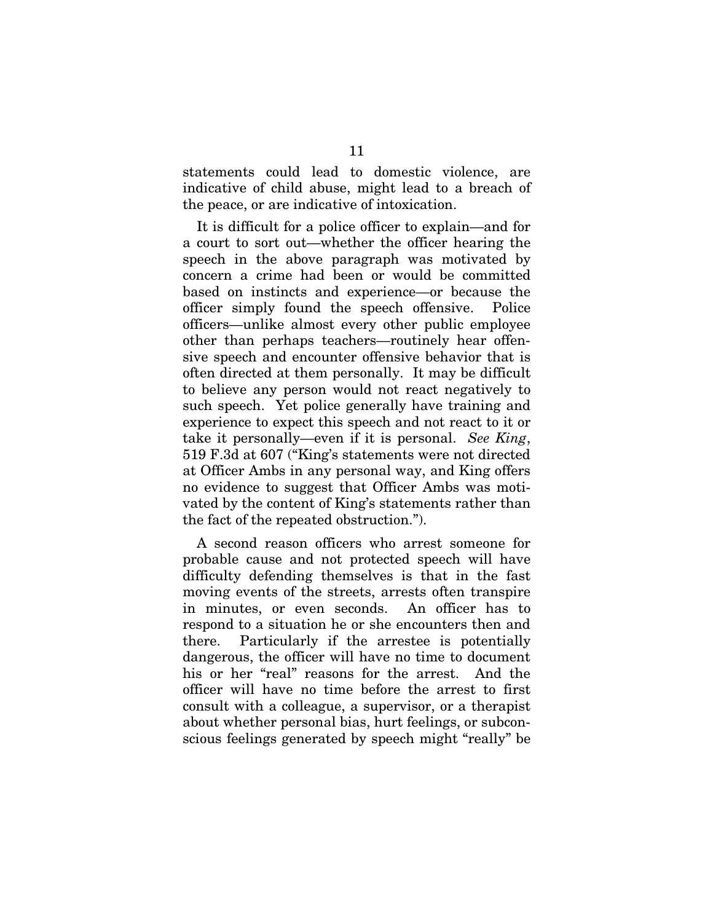statements could lead to domestic violence, are indicative of child abuse, might lead to a breach of the peace, or are indicative of intoxication.

It is difficult for a police officer to explain—and for a court to sort out—whether the officer hearing the speech in the above paragraph was motivated by concern a crime had been or would be committed based on instincts and experience—or because the officer simply found the speech offensive. Police officers—unlike almost every other public employee other than perhaps teachers—routinely hear offensive speech and encounter offensive behavior that is often directed at them personally. It may be difficult to believe any person would not react negatively to such speech. Yet police generally have training and experience to expect this speech and not react to it or take it personally—even if it is personal. *See King*, 519 F.3d at 607 ("King's statements were not directed at Officer Ambs in any personal way, and King offers no evidence to suggest that Officer Ambs was motivated by the content of King's statements rather than the fact of the repeated obstruction.").

A second reason officers who arrest someone for probable cause and not protected speech will have difficulty defending themselves is that in the fast moving events of the streets, arrests often transpire in minutes, or even seconds. An officer has to respond to a situation he or she encounters then and there. Particularly if the arrestee is potentially dangerous, the officer will have no time to document his or her "real" reasons for the arrest. And the officer will have no time before the arrest to first consult with a colleague, a supervisor, or a therapist about whether personal bias, hurt feelings, or subconscious feelings generated by speech might "really" be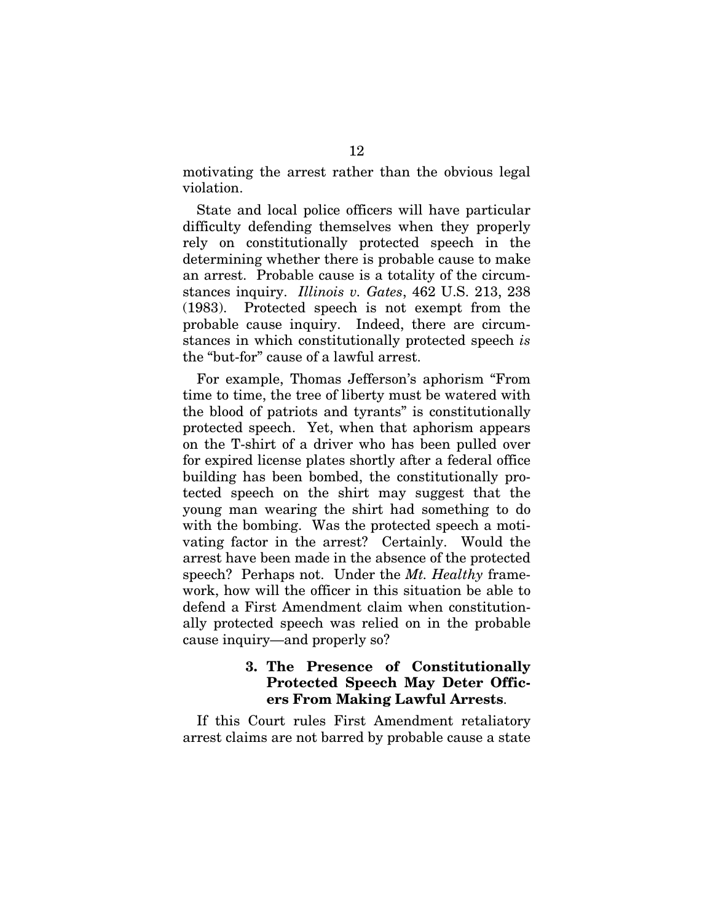motivating the arrest rather than the obvious legal violation.

State and local police officers will have particular difficulty defending themselves when they properly rely on constitutionally protected speech in the determining whether there is probable cause to make an arrest. Probable cause is a totality of the circumstances inquiry. *Illinois v. Gates*, 462 U.S. 213, 238 (1983). Protected speech is not exempt from the probable cause inquiry. Indeed, there are circumstances in which constitutionally protected speech *is* the "but-for" cause of a lawful arrest.

For example, Thomas Jefferson's aphorism "From time to time, the tree of liberty must be watered with the blood of patriots and tyrants" is constitutionally protected speech. Yet, when that aphorism appears on the T-shirt of a driver who has been pulled over for expired license plates shortly after a federal office building has been bombed, the constitutionally protected speech on the shirt may suggest that the young man wearing the shirt had something to do with the bombing. Was the protected speech a motivating factor in the arrest? Certainly. Would the arrest have been made in the absence of the protected speech? Perhaps not. Under the *Mt. Healthy* framework, how will the officer in this situation be able to defend a First Amendment claim when constitutionally protected speech was relied on in the probable cause inquiry—and properly so?

### **3. The Presence of Constitutionally Protected Speech May Deter Officers From Making Lawful Arrests**.

If this Court rules First Amendment retaliatory arrest claims are not barred by probable cause a state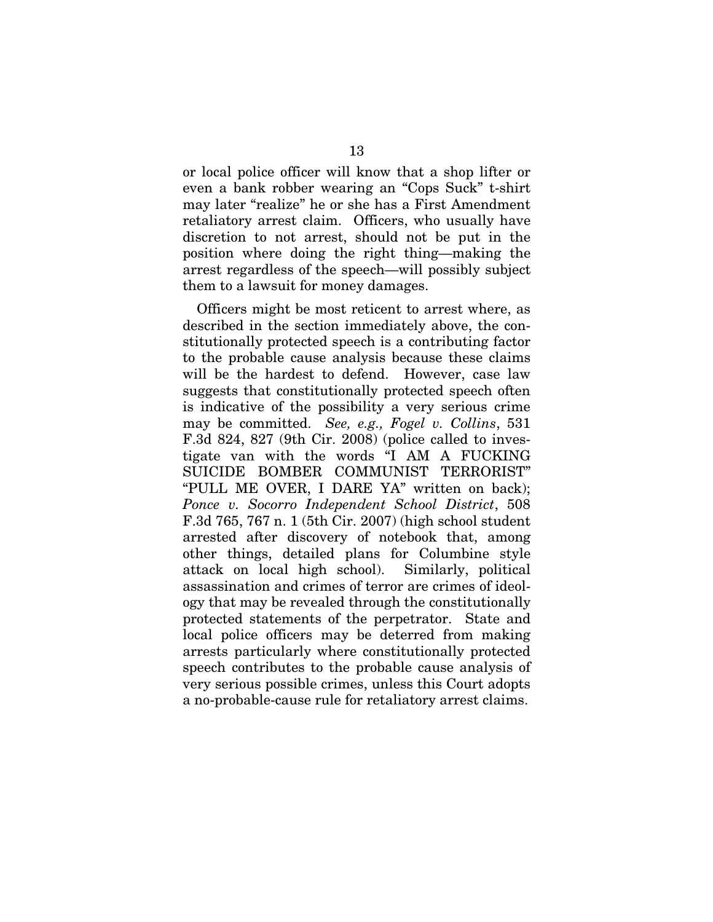or local police officer will know that a shop lifter or even a bank robber wearing an "Cops Suck" t-shirt may later "realize" he or she has a First Amendment retaliatory arrest claim. Officers, who usually have discretion to not arrest, should not be put in the position where doing the right thing—making the arrest regardless of the speech—will possibly subject them to a lawsuit for money damages.

Officers might be most reticent to arrest where, as described in the section immediately above, the constitutionally protected speech is a contributing factor to the probable cause analysis because these claims will be the hardest to defend. However, case law suggests that constitutionally protected speech often is indicative of the possibility a very serious crime may be committed. *See, e.g., Fogel v. Collins*, 531 F.3d 824, 827 (9th Cir. 2008) (police called to investigate van with the words "I AM A FUCKING SUICIDE BOMBER COMMUNIST TERRORIST" "PULL ME OVER, I DARE YA" written on back); *Ponce v. Socorro Independent School District*, 508 F.3d 765, 767 n. 1 (5th Cir. 2007) (high school student arrested after discovery of notebook that, among other things, detailed plans for Columbine style attack on local high school). Similarly, political assassination and crimes of terror are crimes of ideology that may be revealed through the constitutionally protected statements of the perpetrator. State and local police officers may be deterred from making arrests particularly where constitutionally protected speech contributes to the probable cause analysis of very serious possible crimes, unless this Court adopts a no-probable-cause rule for retaliatory arrest claims.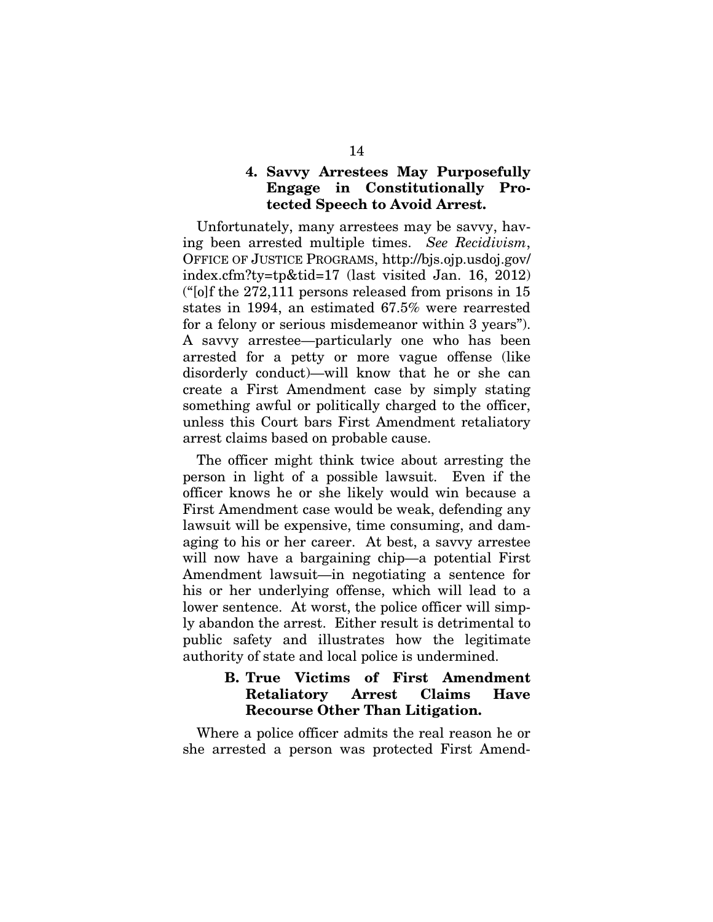### **4. Savvy Arrestees May Purposefully Engage in Constitutionally Protected Speech to Avoid Arrest.**

Unfortunately, many arrestees may be savvy, having been arrested multiple times. *See Recidivism*, OFFICE OF JUSTICE PROGRAMS, [http://bjs.ojp.usdoj.gov/](http://bjs.ojp.usdoj.gov/%20index.cfm?ty=tp&tid=17)  [index.cfm?ty=tp&tid=17](http://bjs.ojp.usdoj.gov/%20index.cfm?ty=tp&tid=17) (last visited Jan. 16, 2012) ("[o]f the 272,111 persons released from prisons in 15 states in 1994, an estimated 67.5% were rearrested for a felony or serious misdemeanor within 3 years"). A savvy arrestee—particularly one who has been arrested for a petty or more vague offense (like disorderly conduct)—will know that he or she can create a First Amendment case by simply stating something awful or politically charged to the officer, unless this Court bars First Amendment retaliatory arrest claims based on probable cause.

The officer might think twice about arresting the person in light of a possible lawsuit. Even if the officer knows he or she likely would win because a First Amendment case would be weak, defending any lawsuit will be expensive, time consuming, and damaging to his or her career. At best, a savvy arrestee will now have a bargaining chip—a potential First Amendment lawsuit—in negotiating a sentence for his or her underlying offense, which will lead to a lower sentence. At worst, the police officer will simply abandon the arrest. Either result is detrimental to public safety and illustrates how the legitimate authority of state and local police is undermined.

### **B. True Victims of First Amendment Retaliatory Arrest Claims Have Recourse Other Than Litigation.**

Where a police officer admits the real reason he or she arrested a person was protected First Amend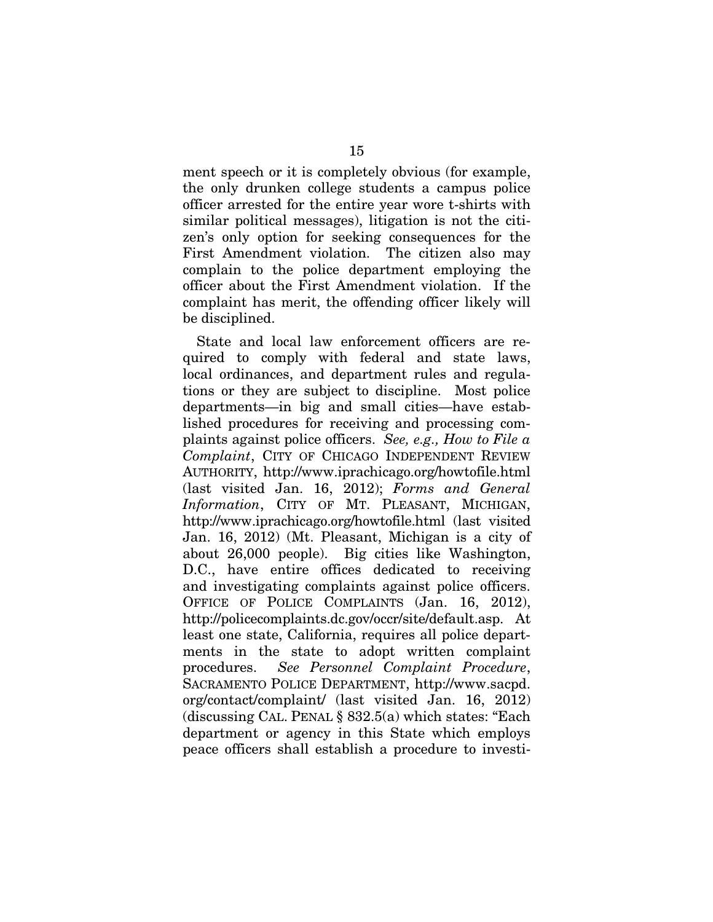ment speech or it is completely obvious (for example, the only drunken college students a campus police officer arrested for the entire year wore t-shirts with similar political messages), litigation is not the citizen's only option for seeking consequences for the First Amendment violation. The citizen also may complain to the police department employing the officer about the First Amendment violation. If the complaint has merit, the offending officer likely will be disciplined.

State and local law enforcement officers are required to comply with federal and state laws, local ordinances, and department rules and regulations or they are subject to discipline. Most police departments—in big and small cities—have established procedures for receiving and processing complaints against police officers. *See, e.g., How to File a Complaint*, CITY OF CHICAGO INDEPENDENT REVIEW AUTHORITY, <http://www.iprachicago.org/howtofile.html> (last visited Jan. 16, 2012); *Forms and General Information*, CITY OF MT. PLEASANT, MICHIGAN, <http://www.iprachicago.org/howtofile.html> (last visited Jan. 16, 2012) (Mt. Pleasant, Michigan is a city of about 26,000 people). Big cities like Washington, D.C., have entire offices dedicated to receiving and investigating complaints against police officers. OFFICE OF POLICE COMPLAINTS (Jan. 16, 2012), [http://policecomplaints.dc.gov/occr/site/default.asp.](http://policecomplaints.dc.gov/occr/site/default.asp) At least one state, California, requires all police departments in the state to adopt written complaint procedures. *See Personnel Complaint Procedure*, SACRAMENTO POLICE DEPARTMENT, http://www.sacpd. org/contact/complaint/ (last visited Jan. 16, 2012) (discussing CAL. PENAL § 832.5(a) which states: "Each department or agency in this State which employs peace officers shall establish a procedure to investi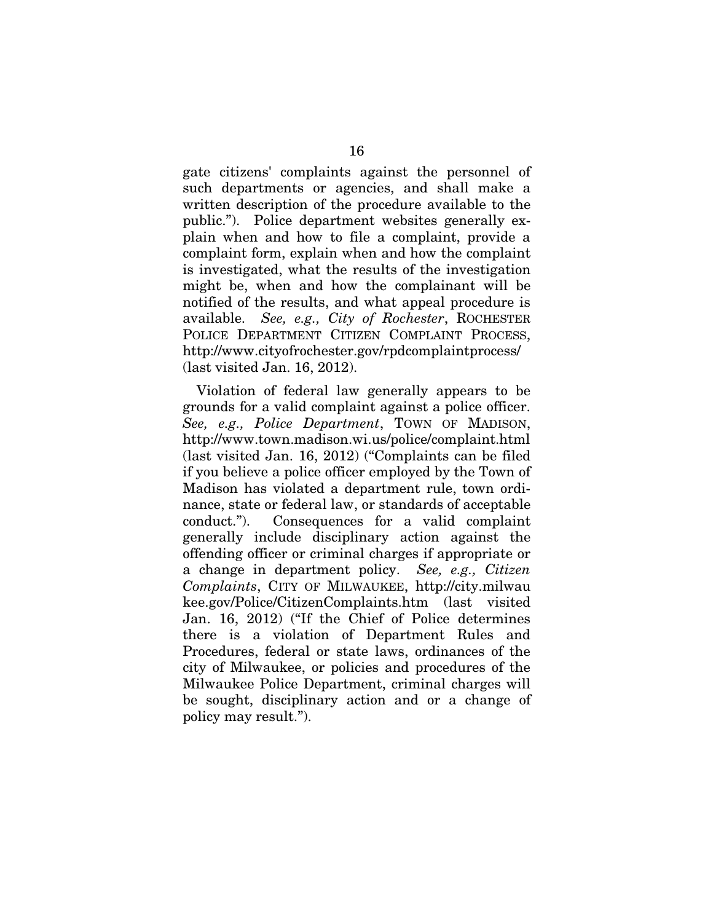gate citizens' complaints against the personnel of such departments or agencies, and shall make a written description of the procedure available to the public."). Police department websites generally explain when and how to file a complaint, provide a complaint form, explain when and how the complaint is investigated, what the results of the investigation might be, when and how the complainant will be notified of the results, and what appeal procedure is available. *See, e.g., City of Rochester*, ROCHESTER POLICE DEPARTMENT CITIZEN COMPLAINT PROCESS, <http://www.cityofrochester.gov/rpdcomplaintprocess/> (last visited Jan. 16, 2012).

Violation of federal law generally appears to be grounds for a valid complaint against a police officer. *See, e.g., Police Department*, TOWN OF MADISON, <http://www.town.madison.wi.us/police/complaint.html> (last visited Jan. 16, 2012) ("Complaints can be filed if you believe a police officer employed by the Town of Madison has violated a department rule, town ordinance, state or federal law, or standards of acceptable conduct."). Consequences for a valid complaint generally include disciplinary action against the offending officer or criminal charges if appropriate or a change in department policy. *See, e.g., Citizen Complaints*, CITY OF MILWAUKEE, http://city.milwau kee.gov/Police/CitizenComplaints.htm (last visited Jan. 16, 2012) ("If the Chief of Police determines there is a violation of Department Rules and Procedures, federal or state laws, ordinances of the city of Milwaukee, or policies and procedures of the Milwaukee Police Department, criminal charges will be sought, disciplinary action and or a change of policy may result.").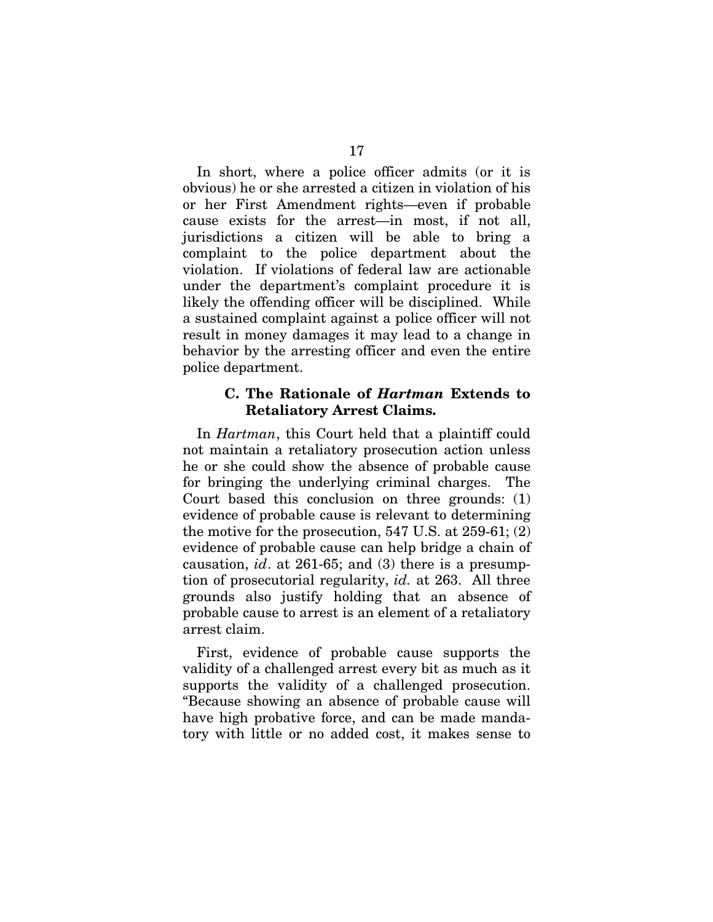In short, where a police officer admits (or it is obvious) he or she arrested a citizen in violation of his or her First Amendment rights—even if probable cause exists for the arrest—in most, if not all, jurisdictions a citizen will be able to bring a complaint to the police department about the violation. If violations of federal law are actionable under the department's complaint procedure it is likely the offending officer will be disciplined. While a sustained complaint against a police officer will not result in money damages it may lead to a change in behavior by the arresting officer and even the entire police department.

#### **C. The Rationale of** *Hartman* **Extends to Retaliatory Arrest Claims.**

In *Hartman*, this Court held that a plaintiff could not maintain a retaliatory prosecution action unless he or she could show the absence of probable cause for bringing the underlying criminal charges. The Court based this conclusion on three grounds: (1) evidence of probable cause is relevant to determining the motive for the prosecution, 547 U.S. at 259-61; (2) evidence of probable cause can help bridge a chain of causation, *id*. at 261-65; and (3) there is a presumption of prosecutorial regularity, *id.* at 263. All three grounds also justify holding that an absence of probable cause to arrest is an element of a retaliatory arrest claim.

First, evidence of probable cause supports the validity of a challenged arrest every bit as much as it supports the validity of a challenged prosecution. "Because showing an absence of probable cause will have high probative force, and can be made mandatory with little or no added cost, it makes sense to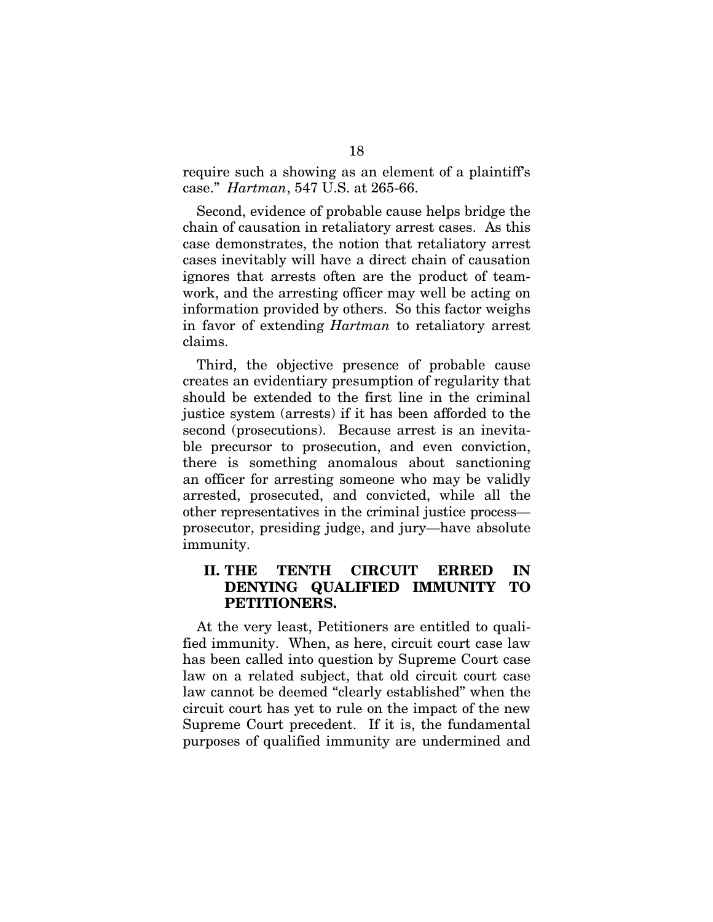require such a showing as an element of a plaintiff's case." *Hartman*, 547 U.S. at 265-66.

Second, evidence of probable cause helps bridge the chain of causation in retaliatory arrest cases. As this case demonstrates, the notion that retaliatory arrest cases inevitably will have a direct chain of causation ignores that arrests often are the product of teamwork, and the arresting officer may well be acting on information provided by others. So this factor weighs in favor of extending *Hartman* to retaliatory arrest claims.

Third, the objective presence of probable cause creates an evidentiary presumption of regularity that should be extended to the first line in the criminal justice system (arrests) if it has been afforded to the second (prosecutions). Because arrest is an inevitable precursor to prosecution, and even conviction, there is something anomalous about sanctioning an officer for arresting someone who may be validly arrested, prosecuted, and convicted, while all the other representatives in the criminal justice process prosecutor, presiding judge, and jury—have absolute immunity.

### **II. THE TENTH CIRCUIT ERRED IN DENYING QUALIFIED IMMUNITY TO PETITIONERS.**

At the very least, Petitioners are entitled to qualified immunity. When, as here, circuit court case law has been called into question by Supreme Court case law on a related subject, that old circuit court case law cannot be deemed "clearly established" when the circuit court has yet to rule on the impact of the new Supreme Court precedent. If it is, the fundamental purposes of qualified immunity are undermined and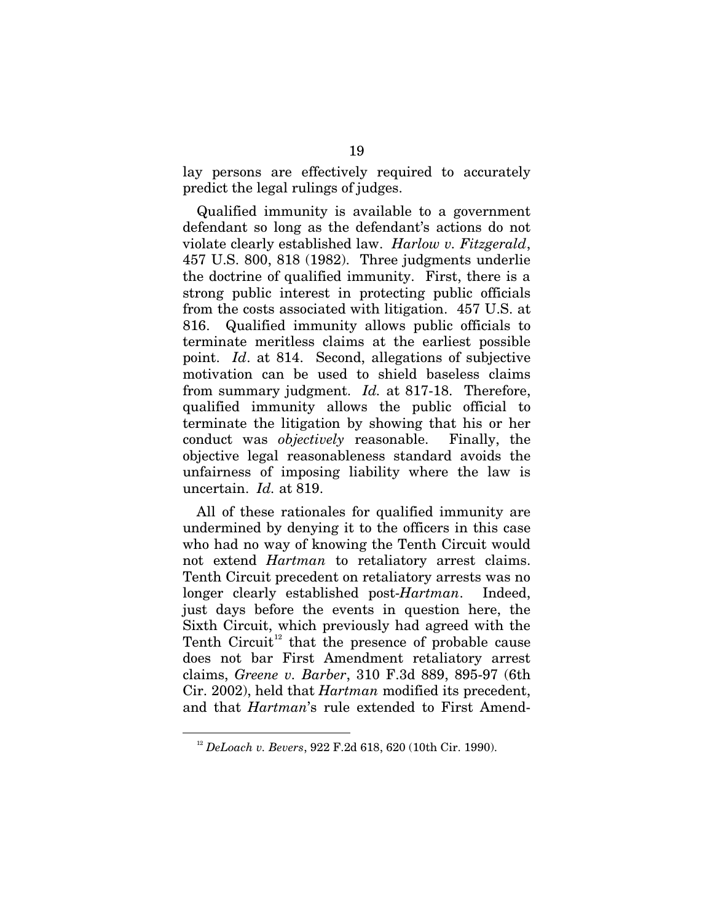lay persons are effectively required to accurately predict the legal rulings of judges.

Qualified immunity is available to a government defendant so long as the defendant's actions do not violate clearly established law. *Harlow v. Fitzgerald*, 457 U.S. 800, 818 (1982). Three judgments underlie the doctrine of qualified immunity. First, there is a strong public interest in protecting public officials from the costs associated with litigation. 457 U.S. at 816. Qualified immunity allows public officials to terminate meritless claims at the earliest possible point. *Id*. at 814. Second, allegations of subjective motivation can be used to shield baseless claims from summary judgment. *Id.* at 817-18. Therefore, qualified immunity allows the public official to terminate the litigation by showing that his or her conduct was *objectively* reasonable. Finally, the objective legal reasonableness standard avoids the unfairness of imposing liability where the law is uncertain. *Id.* at 819.

All of these rationales for qualified immunity are undermined by denying it to the officers in this case who had no way of knowing the Tenth Circuit would not extend *Hartman* to retaliatory arrest claims. Tenth Circuit precedent on retaliatory arrests was no longer clearly established post-*Hartman*. Indeed, just days before the events in question here, the Sixth Circuit, which previously had agreed with the Tenth Circuit<sup>[12](#page-27-0)</sup> that the presence of probable cause does not bar First Amendment retaliatory arrest claims, *Greene v. Barber*, 310 F.3d 889, 895-97 (6th Cir. 2002), held that *Hartman* modified its precedent, and that *Hartman*'s rule extended to First Amend-

<span id="page-27-0"></span><u>.</u>

<sup>12</sup> *DeLoach v. Bevers*, 922 F.2d 618, 620 (10th Cir. 1990).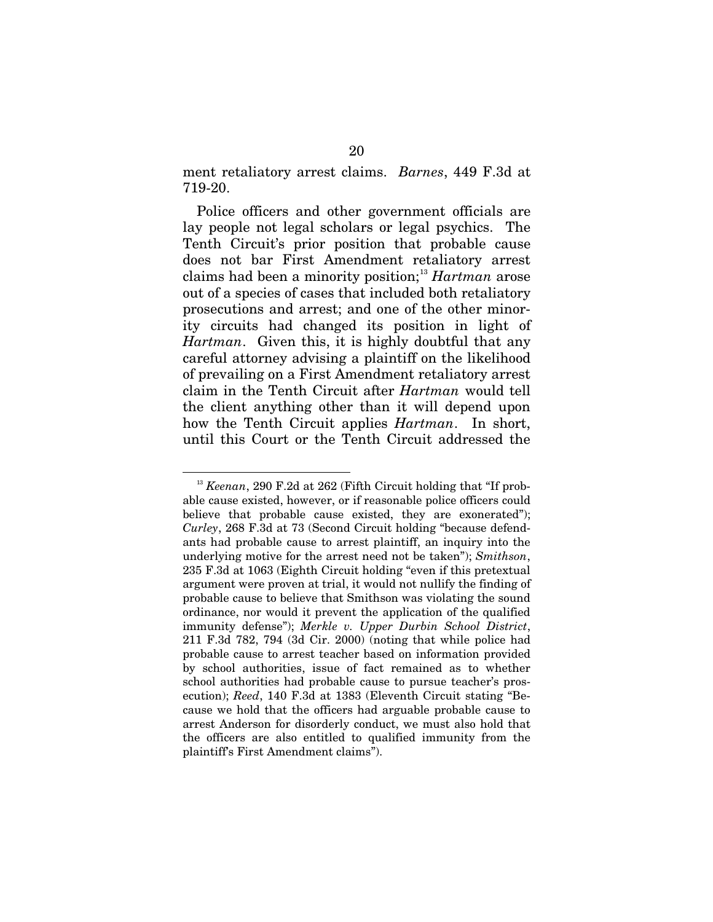ment retaliatory arrest claims. *Barnes*, 449 F.3d at 719-20.

Police officers and other government officials are lay people not legal scholars or legal psychics. The Tenth Circuit's prior position that probable cause does not bar First Amendment retaliatory arrest claims had been a minority position;[13](#page-28-0) *Hartman* arose out of a species of cases that included both retaliatory prosecutions and arrest; and one of the other minority circuits had changed its position in light of *Hartman*. Given this, it is highly doubtful that any careful attorney advising a plaintiff on the likelihood of prevailing on a First Amendment retaliatory arrest claim in the Tenth Circuit after *Hartman* would tell the client anything other than it will depend upon how the Tenth Circuit applies *Hartman*. In short, until this Court or the Tenth Circuit addressed the

-

<span id="page-28-0"></span><sup>&</sup>lt;sup>13</sup> *Keenan*, 290 F.2d at 262 (Fifth Circuit holding that "If probable cause existed, however, or if reasonable police officers could believe that probable cause existed, they are exonerated"); *Curley*, 268 F.3d at 73 (Second Circuit holding "because defendants had probable cause to arrest plaintiff, an inquiry into the underlying motive for the arrest need not be taken"); *Smithson*, 235 F.3d at 1063 (Eighth Circuit holding "even if this pretextual argument were proven at trial, it would not nullify the finding of probable cause to believe that Smithson was violating the sound ordinance, nor would it prevent the application of the qualified immunity defense"); *Merkle v. Upper Durbin School District*, 211 F.3d 782, 794 (3d Cir. 2000) (noting that while police had probable cause to arrest teacher based on information provided by school authorities, issue of fact remained as to whether school authorities had probable cause to pursue teacher's prosecution); *Reed*, 140 F.3d at 1383 (Eleventh Circuit stating "Because we hold that the officers had arguable probable cause to arrest Anderson for disorderly conduct, we must also hold that the officers are also entitled to qualified immunity from the plaintiff's First Amendment claims").